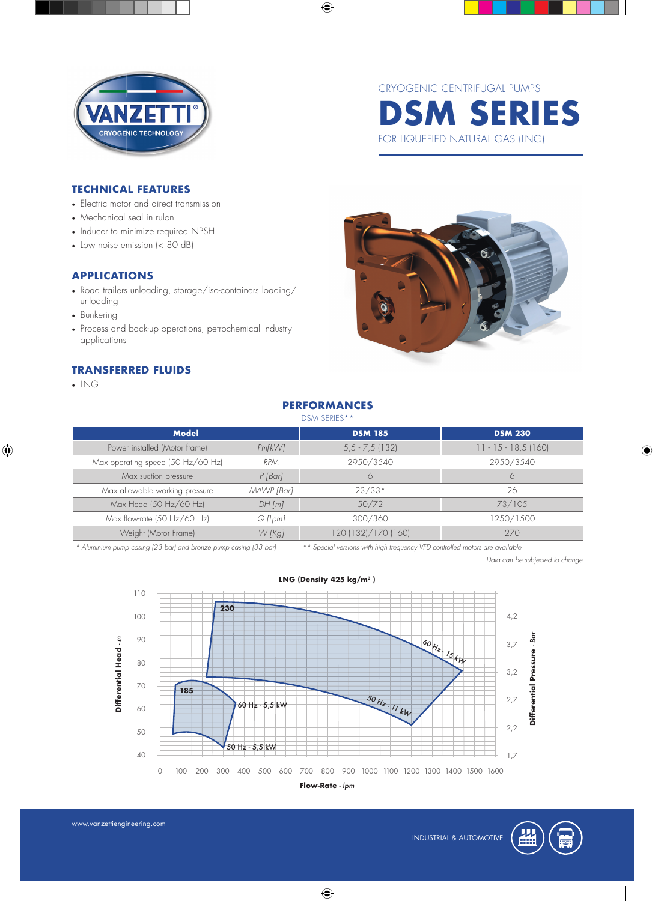

# CRYOGENIC CENTRIFUGAL PUMPS



# **TECHNICAL FEATURES**

- Electric motor and direct transmission
- Mechanical seal in rulon
- Inducer to minimize required NPSH
- Low noise emission (< 80 dB)

#### **APPLICATIONS**

- Road trailers unloading, storage/iso-containers loading/ unloading
- Bunkering
- Process and back-up operations, petrochemical industry applications

# **TRANSFERRED FLUIDS**

 $\cdot$  ING



### **PERFORMANCES**

#### DSM SERIES\*\*

| <b>Model</b>                      |            | <b>DSM 185</b>      | <b>DSM 230</b>        |
|-----------------------------------|------------|---------------------|-----------------------|
| Power installed (Motor frame)     | Pm[kVV]    | $5, 5 - 7, 5$ (132) | $11 - 15 - 18,5(160)$ |
| Max operating speed (50 Hz/60 Hz) | <b>RPM</b> | 2950/3540           | 2950/3540             |
| Max suction pressure              | $P$ [Bar]  | $\circ$             | 6                     |
| Max allowable working pressure    | MAWP [Bar] | $23/33*$            | 26                    |
| Max Head (50 Hz/60 Hz)            | DH[m]      | 50/72               | 73/105                |
| Max flow-rate (50 Hz/60 Hz)       | Q[lpm]     | 300/360             | 1250/1500             |
| Weight (Motor Frame)              | W [Kg]     | 120 (132)/170 (160) | 270                   |

*\* Aluminium pump casing (23 bar) and bronze pump casing (33 bar) \*\* Special versions with high frequency VFD controlled motors are available*

*Data can be subjected to change*

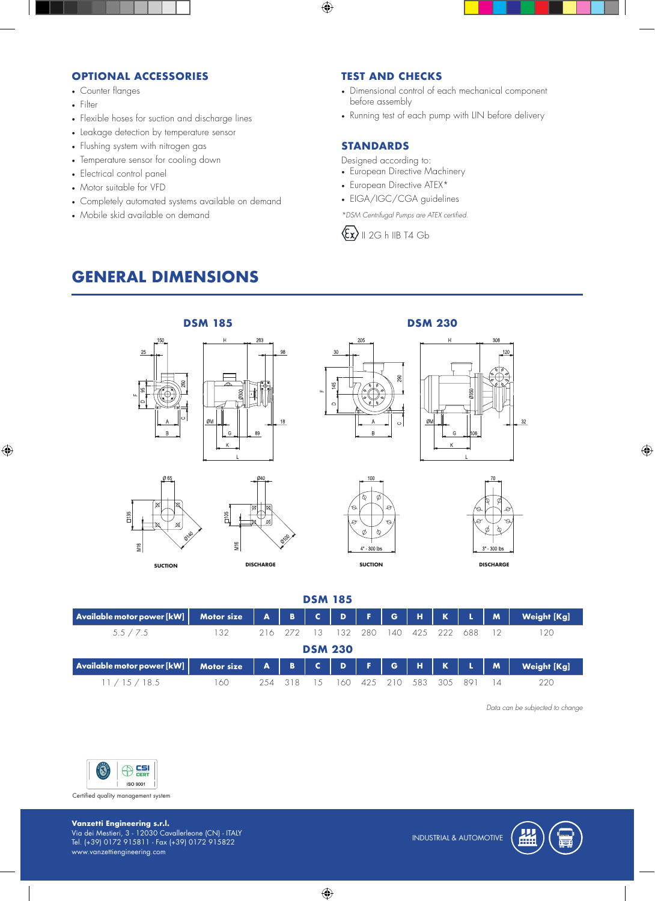### **OPTIONAL ACCESSORIES**

- Counter flanges
- Filter
- Flexible hoses for suction and discharge lines
- Leakage detection by temperature sensor
- Flushing system with nitrogen gas
- Temperature sensor for cooling down
- Electrical control panel
- Motor suitable for VFD
- Completely automated systems available on demand
- Mobile skid available on demand

# **TEST AND CHECKS**

- Dimensional control of each mechanical component before assembly
- Running test of each pump with LIN before delivery

# **STANDARDS**

Designed according to:

- European Directive Machinery
- European Directive ATEX\*
- EIGA/IGC/CGA guidelines

*\*DSM Centrifugal Pumps are ATEX certified.*



# **GENERAL DIMENSIONS**







**SUCTION DISCHARGE SUCTION DISCHARGE**





| <b>DSM 185</b>             |                   |                |              |                          |              |                 |         |     |       |      |                |                    |
|----------------------------|-------------------|----------------|--------------|--------------------------|--------------|-----------------|---------|-----|-------|------|----------------|--------------------|
| Available motor power [kW] | <b>Motor size</b> | $\overline{A}$ | $\mathbf{B}$ | $\mathbf{C}$             | $\mathbf{D}$ | <b>ACT 30 -</b> |         |     |       | GHKL | M              | <b>Weight [Kg]</b> |
| 5.5 / 7.5                  | 132               | 216            | -272         | -13                      | 132          | 280             | 40      | 425 | - 222 | 688  |                | 20                 |
| <b>DSM 230</b>             |                   |                |              |                          |              |                 |         |     |       |      |                |                    |
| Available motor power [kW] | <b>Motor size</b> | $\mathbf{A}$   | $\mathbf{B}$ | $\mathbf{C}$             | $\mathbf{D}$ | - F.            |         |     |       | HKL  | M              | <b>Weight [Kg]</b> |
| 11 / 15 / 18.5             | 60                | 254            | 318          | $\overline{\phantom{a}}$ | 60           |                 | 425 210 | 583 | 30.5  | 891  | $\overline{4}$ | 220                |

*Data can be subjected to change*



Certified quality management system

**Vanzetti Engineering s.r.l.** Via dei Mestieri, 3 - 12030 Cavallerleone (CN) - ITALY Tel. (+39) 0172 915811 - Fax (+39) 0172 915822 www.vanzettiengineering.com

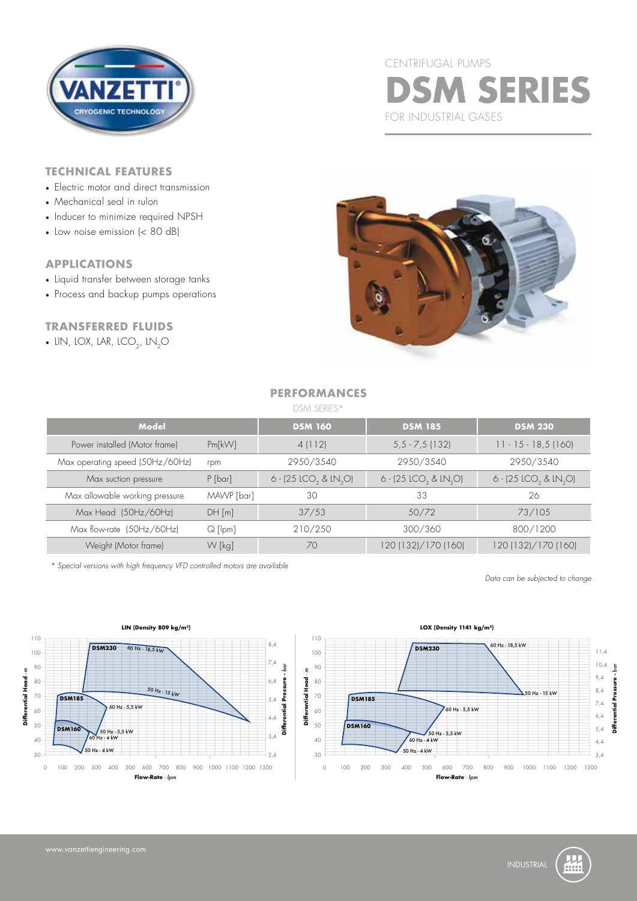

# CENTRIFUGAL PUMPS **DSM SERIES** FOR INDUSTRIAL GASES

### **TECHNICAL FEATURES**

- Electric motor and direct transmission
- Mechanical seal in rulon
- Inducer to minimize required NPSH
- Low noise emission (< 80 dB)

### **APPLICATIONS**

- Liquid transfer between storage tanks
- Process and backup pumps operations

# **TRANSFERRED FLUIDS**

• LIN, LOX, LAR, LCO<sub>2</sub>, LN<sub>2</sub>O



#### **PERFORMANCES**

| DSM SERIES*                     |            |                                                 |                                                 |                                               |  |  |  |  |  |
|---------------------------------|------------|-------------------------------------------------|-------------------------------------------------|-----------------------------------------------|--|--|--|--|--|
| <b>Model</b>                    |            | <b>DSM 160</b>                                  | <b>DSM 185</b>                                  | <b>DSM 230</b>                                |  |  |  |  |  |
| Power installed (Motor frame)   | Pm[kW]     | 4(112)                                          | $5, 5 - 7, 5$ (132)                             | $11 - 15 - 18,5(160)$                         |  |  |  |  |  |
| Max operating speed (50Hz/60Hz) | rpm        | 2950/3540                                       | 2950/3540                                       | 2950/3540                                     |  |  |  |  |  |
| Max suction pressure            | P [bar]    | $6 - [25$ LCO <sub>2</sub> & LN <sub>2</sub> O] | $6 - [25$ LCO <sub>2</sub> & LN <sub>2</sub> O] | 6 - (25 LCO <sub>2</sub> & LN <sub>2</sub> O) |  |  |  |  |  |
| Max allowable working pressure  | MAWP [bar] | 30                                              | 33                                              | 26                                            |  |  |  |  |  |
| Max Head (50Hz/60Hz)            | DH[m]      | 37/53                                           | 50/72                                           | 73/105                                        |  |  |  |  |  |
| Max flow-rate (50Hz/60Hz)       | Q[mm]      | 210/250                                         | 300/360                                         | 800/1200                                      |  |  |  |  |  |
| Weight (Motor frame)            | W [kg]     | 70                                              | 120 (132)/170 (160)                             | 120 (132)/170 (160)                           |  |  |  |  |  |

*\* Special versions with high frequency VFD controlled motors are available*

*Data can be subjected to change*